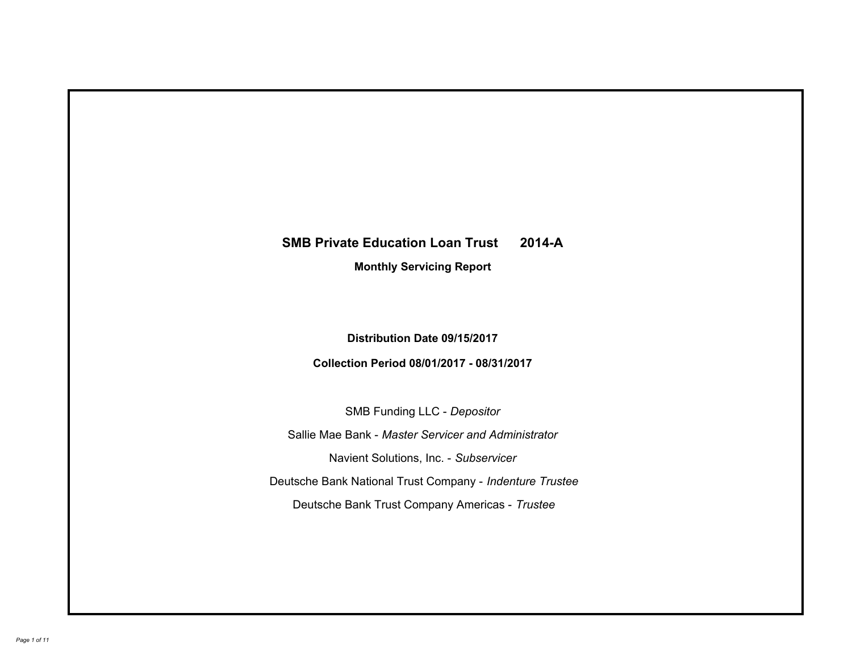# **SMB Private Education Loan Trust 2014-A Monthly Servicing Report**

# **Distribution Date 09/15/2017**

# **Collection Period 08/01/2017 - 08/31/2017**

SMB Funding LLC - *Depositor*

Sallie Mae Bank - *Master Servicer and Administrator*

Navient Solutions, Inc. - *Subservicer*

Deutsche Bank National Trust Company - *Indenture Trustee*

Deutsche Bank Trust Company Americas - *Trustee*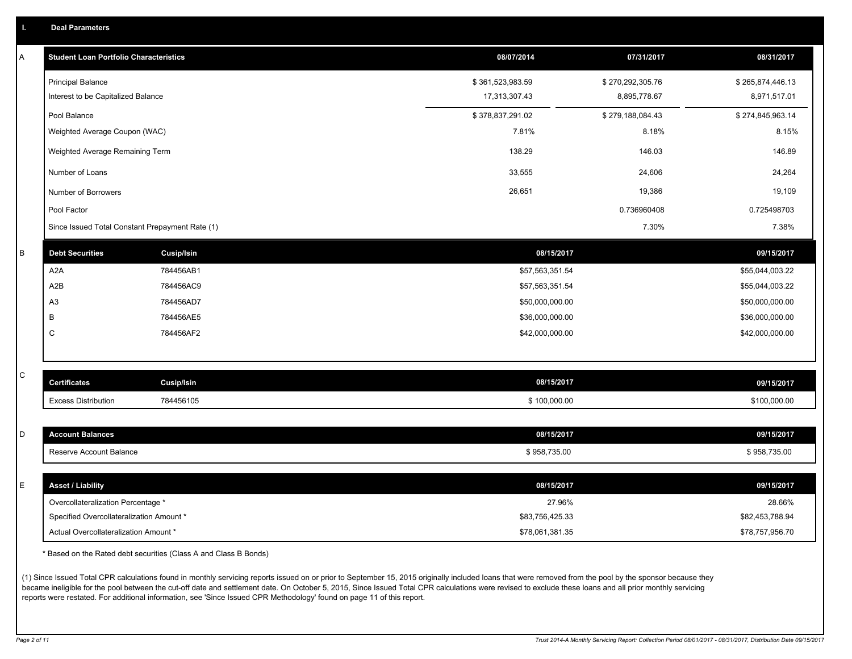|  | <b>Deal Parameters</b> |  |
|--|------------------------|--|
|  |                        |  |

| A | <b>Student Loan Portfolio Characteristics</b>   |                   | 08/07/2014       | 07/31/2017       | 08/31/2017       |
|---|-------------------------------------------------|-------------------|------------------|------------------|------------------|
|   | <b>Principal Balance</b>                        |                   | \$361,523,983.59 | \$270,292,305.76 | \$265,874,446.13 |
|   | Interest to be Capitalized Balance              |                   | 17,313,307.43    | 8,895,778.67     | 8,971,517.01     |
|   | Pool Balance                                    |                   | \$378,837,291.02 | \$279,188,084.43 | \$274,845,963.14 |
|   | Weighted Average Coupon (WAC)                   |                   | 7.81%            | 8.18%            | 8.15%            |
|   | Weighted Average Remaining Term                 |                   | 138.29           | 146.03           | 146.89           |
|   | Number of Loans                                 |                   | 33,555           | 24,606           | 24,264           |
|   | Number of Borrowers                             |                   | 26,651           | 19,386           | 19,109           |
|   | Pool Factor                                     |                   |                  | 0.736960408      | 0.725498703      |
|   | Since Issued Total Constant Prepayment Rate (1) |                   |                  | 7.30%            | 7.38%            |
| B | <b>Debt Securities</b>                          | <b>Cusip/Isin</b> | 08/15/2017       |                  | 09/15/2017       |
|   | A <sub>2</sub> A                                | 784456AB1         | \$57,563,351.54  |                  | \$55,044,003.22  |
|   | A2B                                             | 784456AC9         | \$57,563,351.54  |                  | \$55,044,003.22  |
|   | A <sub>3</sub>                                  | 784456AD7         | \$50,000,000.00  |                  | \$50,000,000.00  |
|   | В                                               | 784456AE5         | \$36,000,000.00  |                  | \$36,000,000.00  |
|   | C                                               | 784456AF2         | \$42,000,000.00  |                  | \$42,000,000.00  |
|   |                                                 |                   |                  |                  |                  |
| C | <b>Certificates</b>                             | <b>Cusip/Isin</b> | 08/15/2017       |                  | 09/15/2017       |
|   | <b>Excess Distribution</b>                      | 784456105         | \$100,000.00     |                  | \$100,000.00     |
|   |                                                 |                   |                  |                  |                  |
| D | <b>Account Balances</b>                         |                   | 08/15/2017       |                  | 09/15/2017       |
|   | Reserve Account Balance                         |                   | \$958,735.00     |                  | \$958,735.00     |
|   |                                                 |                   |                  |                  |                  |
| E | <b>Asset / Liability</b>                        |                   | 08/15/2017       |                  | 09/15/2017       |
|   | Overcollateralization Percentage *              |                   | 27.96%           |                  | 28.66%           |
|   | Specified Overcollateralization Amount *        |                   | \$83,756,425.33  |                  | \$82,453,788.94  |
|   | Actual Overcollateralization Amount *           |                   | \$78,061,381.35  |                  | \$78,757,956.70  |

\* Based on the Rated debt securities (Class A and Class B Bonds)

(1) Since Issued Total CPR calculations found in monthly servicing reports issued on or prior to September 15, 2015 originally included loans that were removed from the pool by the sponsor because they became ineligible for the pool between the cut-off date and settlement date. On October 5, 2015, Since Issued Total CPR calculations were revised to exclude these loans and all prior monthly servicing reports were restated. For additional information, see 'Since Issued CPR Methodology' found on page 11 of this report.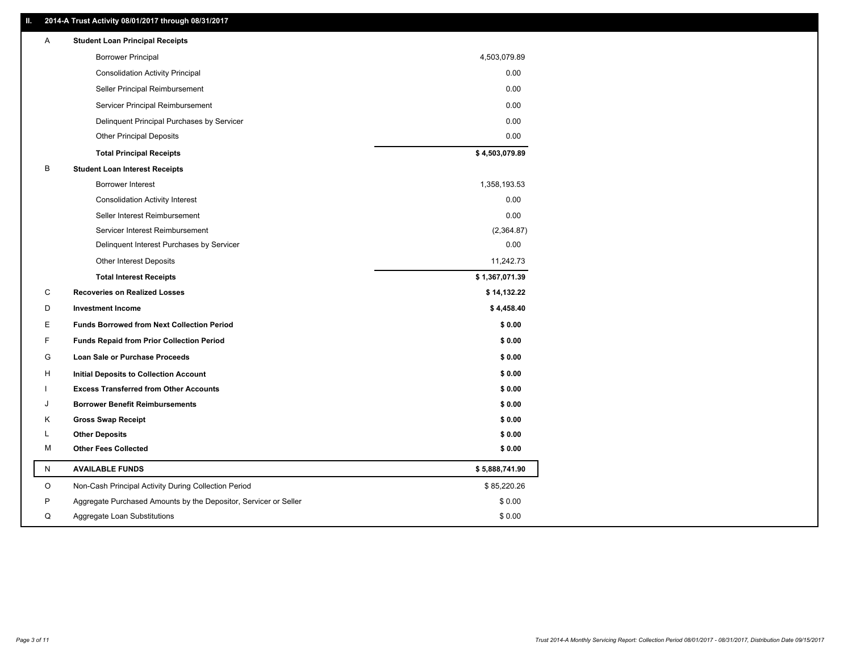### **II. 2014-A Trust Activity 08/01/2017 through 08/31/2017**

| Α         | <b>Student Loan Principal Receipts</b>                           |                |
|-----------|------------------------------------------------------------------|----------------|
|           | <b>Borrower Principal</b>                                        | 4,503,079.89   |
|           | <b>Consolidation Activity Principal</b>                          | 0.00           |
|           | Seller Principal Reimbursement                                   | 0.00           |
|           | Servicer Principal Reimbursement                                 | 0.00           |
|           | Delinquent Principal Purchases by Servicer                       | 0.00           |
|           | <b>Other Principal Deposits</b>                                  | 0.00           |
|           | <b>Total Principal Receipts</b>                                  | \$4,503,079.89 |
| B         | <b>Student Loan Interest Receipts</b>                            |                |
|           | <b>Borrower Interest</b>                                         | 1,358,193.53   |
|           | <b>Consolidation Activity Interest</b>                           | 0.00           |
|           | Seller Interest Reimbursement                                    | 0.00           |
|           | Servicer Interest Reimbursement                                  | (2,364.87)     |
|           | Delinquent Interest Purchases by Servicer                        | 0.00           |
|           | <b>Other Interest Deposits</b>                                   | 11,242.73      |
|           | <b>Total Interest Receipts</b>                                   | \$1,367,071.39 |
| С         | <b>Recoveries on Realized Losses</b>                             | \$14,132.22    |
| D         | <b>Investment Income</b>                                         | \$4,458.40     |
| Е         | <b>Funds Borrowed from Next Collection Period</b>                | \$0.00         |
| F         | <b>Funds Repaid from Prior Collection Period</b>                 | \$0.00         |
| G         | <b>Loan Sale or Purchase Proceeds</b>                            | \$0.00         |
| н         | Initial Deposits to Collection Account                           | \$0.00         |
|           | <b>Excess Transferred from Other Accounts</b>                    | \$0.00         |
| . I       | <b>Borrower Benefit Reimbursements</b>                           | \$0.00         |
| Κ         | <b>Gross Swap Receipt</b>                                        | \$0.00         |
| L         | <b>Other Deposits</b>                                            | \$0.00         |
| м         | <b>Other Fees Collected</b>                                      | \$0.00         |
| ${\sf N}$ | <b>AVAILABLE FUNDS</b>                                           | \$5,888,741.90 |
| O         | Non-Cash Principal Activity During Collection Period             | \$85,220.26    |
| P         | Aggregate Purchased Amounts by the Depositor, Servicer or Seller | \$0.00         |
| Q         | Aggregate Loan Substitutions                                     | \$0.00         |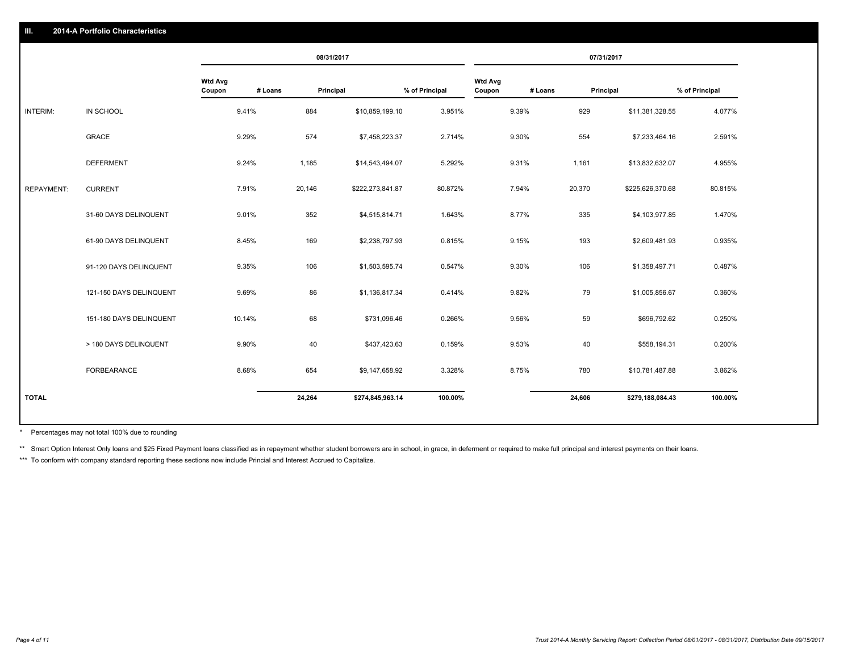|                   |                         |                          | 08/31/2017           |                  |                |                          |         | 07/31/2017       |                |
|-------------------|-------------------------|--------------------------|----------------------|------------------|----------------|--------------------------|---------|------------------|----------------|
|                   |                         | <b>Wtd Avg</b><br>Coupon | # Loans<br>Principal |                  | % of Principal | <b>Wtd Avg</b><br>Coupon | # Loans | Principal        | % of Principal |
| INTERIM:          | IN SCHOOL               | 9.41%                    | 884                  | \$10,859,199.10  | 3.951%         | 9.39%                    | 929     | \$11,381,328.55  | 4.077%         |
|                   | GRACE                   | 9.29%                    | 574                  | \$7,458,223.37   | 2.714%         | 9.30%                    | 554     | \$7,233,464.16   | 2.591%         |
|                   | <b>DEFERMENT</b>        | 9.24%                    | 1,185                | \$14,543,494.07  | 5.292%         | 9.31%                    | 1,161   | \$13,832,632.07  | 4.955%         |
| <b>REPAYMENT:</b> | <b>CURRENT</b>          | 7.91%                    | 20,146               | \$222,273,841.87 | 80.872%        | 7.94%                    | 20,370  | \$225,626,370.68 | 80.815%        |
|                   | 31-60 DAYS DELINQUENT   | 9.01%                    | 352                  | \$4,515,814.71   | 1.643%         | 8.77%                    | 335     | \$4,103,977.85   | 1.470%         |
|                   | 61-90 DAYS DELINQUENT   | 8.45%                    | 169                  | \$2,238,797.93   | 0.815%         | 9.15%                    | 193     | \$2,609,481.93   | 0.935%         |
|                   | 91-120 DAYS DELINQUENT  | 9.35%                    | 106                  | \$1,503,595.74   | 0.547%         | 9.30%                    | 106     | \$1,358,497.71   | 0.487%         |
|                   | 121-150 DAYS DELINQUENT | 9.69%                    | 86                   | \$1,136,817.34   | 0.414%         | 9.82%                    | 79      | \$1,005,856.67   | 0.360%         |
|                   | 151-180 DAYS DELINQUENT | 10.14%                   | 68                   | \$731,096.46     | 0.266%         | 9.56%                    | 59      | \$696,792.62     | 0.250%         |
|                   | > 180 DAYS DELINQUENT   | 9.90%                    | 40                   | \$437,423.63     | 0.159%         | 9.53%                    | 40      | \$558,194.31     | 0.200%         |
|                   | FORBEARANCE             | 8.68%                    | 654                  | \$9,147,658.92   | 3.328%         | 8.75%                    | 780     | \$10,781,487.88  | 3.862%         |
| <b>TOTAL</b>      |                         |                          | 24,264               | \$274,845,963.14 | 100.00%        |                          | 24,606  | \$279,188,084.43 | 100.00%        |
|                   |                         |                          |                      |                  |                |                          |         |                  |                |

Percentages may not total 100% due to rounding \*

\*\* Smart Option Interest Only loans and \$25 Fixed Payment loans classified as in repayment whether student borrowers are in school, in grace, in deferment or required to make full principal and interest payments on their l

\*\*\* To conform with company standard reporting these sections now include Princial and Interest Accrued to Capitalize.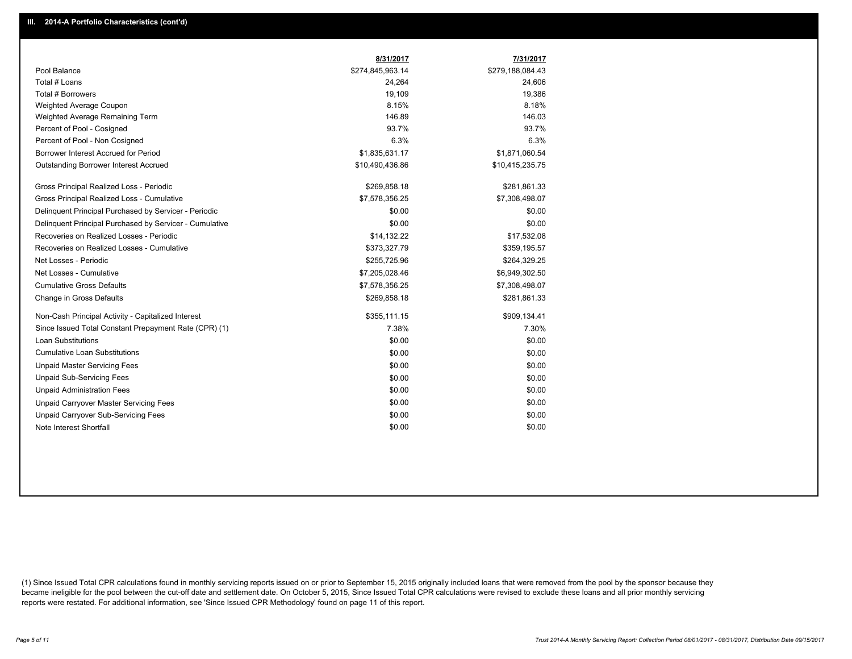|                                                         | 8/31/2017        | 7/31/2017        |
|---------------------------------------------------------|------------------|------------------|
| Pool Balance                                            | \$274,845,963.14 | \$279,188,084.43 |
| Total # Loans                                           | 24,264           | 24,606           |
| <b>Total # Borrowers</b>                                | 19,109           | 19,386           |
| Weighted Average Coupon                                 | 8.15%            | 8.18%            |
| Weighted Average Remaining Term                         | 146.89           | 146.03           |
| Percent of Pool - Cosigned                              | 93.7%            | 93.7%            |
| Percent of Pool - Non Cosigned                          | 6.3%             | 6.3%             |
| Borrower Interest Accrued for Period                    | \$1,835,631.17   | \$1,871,060.54   |
| Outstanding Borrower Interest Accrued                   | \$10,490,436.86  | \$10,415,235.75  |
| Gross Principal Realized Loss - Periodic                | \$269,858.18     | \$281,861.33     |
| Gross Principal Realized Loss - Cumulative              | \$7,578,356.25   | \$7,308,498.07   |
| Delinquent Principal Purchased by Servicer - Periodic   | \$0.00           | \$0.00           |
| Delinquent Principal Purchased by Servicer - Cumulative | \$0.00           | \$0.00           |
| Recoveries on Realized Losses - Periodic                | \$14,132.22      | \$17,532.08      |
| Recoveries on Realized Losses - Cumulative              | \$373,327.79     | \$359,195.57     |
| Net Losses - Periodic                                   | \$255,725.96     | \$264,329.25     |
| Net Losses - Cumulative                                 | \$7,205,028.46   | \$6,949,302.50   |
| <b>Cumulative Gross Defaults</b>                        | \$7,578,356.25   | \$7,308,498.07   |
| Change in Gross Defaults                                | \$269,858.18     | \$281,861.33     |
| Non-Cash Principal Activity - Capitalized Interest      | \$355,111.15     | \$909,134.41     |
| Since Issued Total Constant Prepayment Rate (CPR) (1)   | 7.38%            | 7.30%            |
| Loan Substitutions                                      | \$0.00           | \$0.00           |
| <b>Cumulative Loan Substitutions</b>                    | \$0.00           | \$0.00           |
| <b>Unpaid Master Servicing Fees</b>                     | \$0.00           | \$0.00           |
| <b>Unpaid Sub-Servicing Fees</b>                        | \$0.00           | \$0.00           |
| <b>Unpaid Administration Fees</b>                       | \$0.00           | \$0.00           |
| Unpaid Carryover Master Servicing Fees                  | \$0.00           | \$0.00           |
| Unpaid Carryover Sub-Servicing Fees                     | \$0.00           | \$0.00           |
| Note Interest Shortfall                                 | \$0.00           | \$0.00           |

(1) Since Issued Total CPR calculations found in monthly servicing reports issued on or prior to September 15, 2015 originally included loans that were removed from the pool by the sponsor because they became ineligible for the pool between the cut-off date and settlement date. On October 5, 2015, Since Issued Total CPR calculations were revised to exclude these loans and all prior monthly servicing reports were restated. For additional information, see 'Since Issued CPR Methodology' found on page 11 of this report.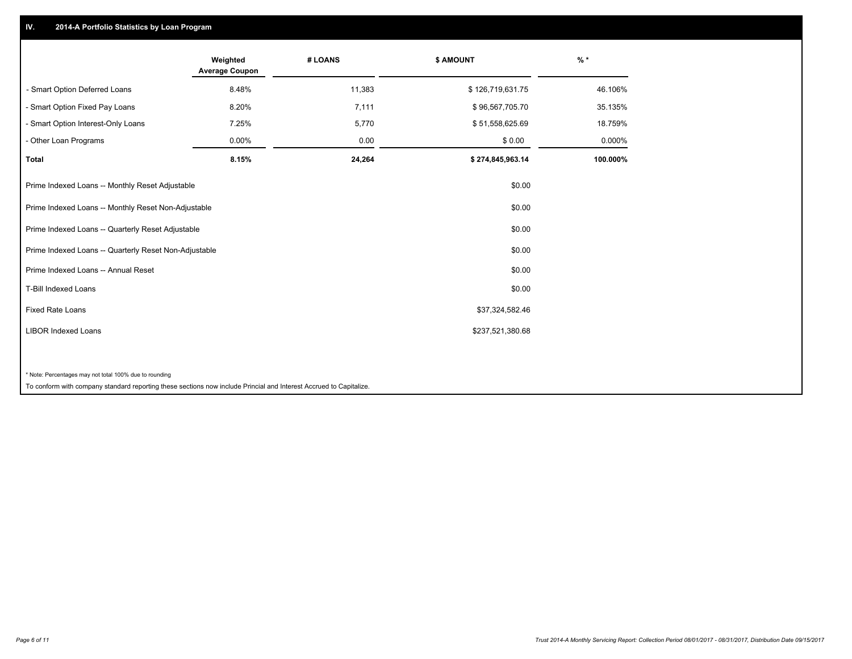## **IV. 2014-A Portfolio Statistics by Loan Program**

|                                                                                                                    | Weighted<br><b>Average Coupon</b> | # LOANS | \$ AMOUNT        | $\frac{9}{6}$ * |
|--------------------------------------------------------------------------------------------------------------------|-----------------------------------|---------|------------------|-----------------|
| - Smart Option Deferred Loans                                                                                      | 8.48%                             | 11,383  | \$126,719,631.75 | 46.106%         |
| - Smart Option Fixed Pay Loans                                                                                     | 8.20%                             | 7,111   | \$96,567,705.70  | 35.135%         |
| - Smart Option Interest-Only Loans                                                                                 | 7.25%                             | 5,770   | \$51,558,625.69  | 18.759%         |
| - Other Loan Programs                                                                                              | 0.00%                             | 0.00    | \$0.00           | 0.000%          |
| <b>Total</b>                                                                                                       | 8.15%                             | 24,264  | \$274,845,963.14 | 100.000%        |
| Prime Indexed Loans -- Monthly Reset Adjustable                                                                    |                                   |         | \$0.00           |                 |
| Prime Indexed Loans -- Monthly Reset Non-Adjustable                                                                |                                   |         | \$0.00           |                 |
| Prime Indexed Loans -- Quarterly Reset Adjustable                                                                  |                                   |         | \$0.00           |                 |
| Prime Indexed Loans -- Quarterly Reset Non-Adjustable                                                              |                                   |         | \$0.00           |                 |
| Prime Indexed Loans -- Annual Reset                                                                                |                                   |         | \$0.00           |                 |
| <b>T-Bill Indexed Loans</b>                                                                                        |                                   |         | \$0.00           |                 |
| <b>Fixed Rate Loans</b>                                                                                            |                                   |         | \$37,324,582.46  |                 |
| <b>LIBOR Indexed Loans</b>                                                                                         |                                   |         | \$237,521,380.68 |                 |
|                                                                                                                    |                                   |         |                  |                 |
| * Note: Percentages may not total 100% due to rounding                                                             |                                   |         |                  |                 |
| To conform with company standard reporting these sections now include Princial and Interest Accrued to Capitalize. |                                   |         |                  |                 |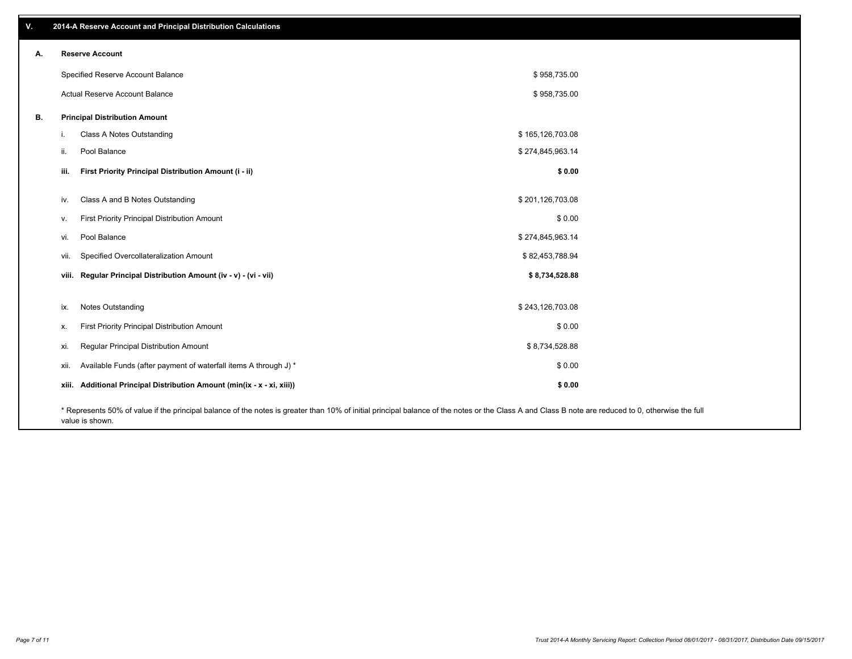| V. | 2014-A Reserve Account and Principal Distribution Calculations                                                                                                                                     |                  |  |
|----|----------------------------------------------------------------------------------------------------------------------------------------------------------------------------------------------------|------------------|--|
| А. | <b>Reserve Account</b>                                                                                                                                                                             |                  |  |
|    | Specified Reserve Account Balance                                                                                                                                                                  | \$958,735.00     |  |
|    | Actual Reserve Account Balance                                                                                                                                                                     | \$958,735.00     |  |
| В. | <b>Principal Distribution Amount</b>                                                                                                                                                               |                  |  |
|    | Class A Notes Outstanding<br>j.                                                                                                                                                                    | \$165,126,703.08 |  |
|    | Pool Balance<br>ii.                                                                                                                                                                                | \$274,845,963.14 |  |
|    | First Priority Principal Distribution Amount (i - ii)<br>iii.                                                                                                                                      | \$0.00           |  |
|    | Class A and B Notes Outstanding<br>iv.                                                                                                                                                             | \$201,126,703.08 |  |
|    | First Priority Principal Distribution Amount<br>v.                                                                                                                                                 | \$0.00           |  |
|    | Pool Balance<br>vi.                                                                                                                                                                                | \$274,845,963.14 |  |
|    | Specified Overcollateralization Amount<br>vii.                                                                                                                                                     | \$82,453,788.94  |  |
|    | viii. Regular Principal Distribution Amount (iv - v) - (vi - vii)                                                                                                                                  | \$8,734,528.88   |  |
|    | Notes Outstanding<br>ix.                                                                                                                                                                           | \$243,126,703.08 |  |
|    | First Priority Principal Distribution Amount<br>х.                                                                                                                                                 | \$0.00           |  |
|    | Regular Principal Distribution Amount<br>xi.                                                                                                                                                       | \$8,734,528.88   |  |
|    | Available Funds (after payment of waterfall items A through J) *<br>xii.                                                                                                                           | \$0.00           |  |
|    | xiii. Additional Principal Distribution Amount (min(ix - x - xi, xiii))                                                                                                                            | \$0.00           |  |
|    | * Represents 50% of value if the principal balance of the notes is greater than 10% of initial principal balance of the notes or the Class A and Class B note are reduced to 0, otherwise the full |                  |  |

value is shown.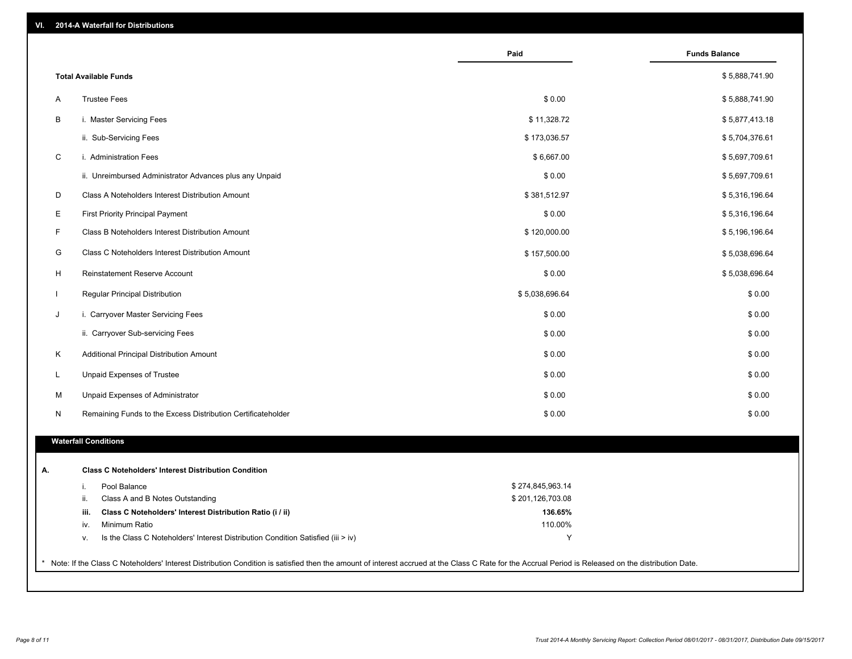| VI. |  | 2014-A Waterfall for Distributions |  |  |  |
|-----|--|------------------------------------|--|--|--|
|-----|--|------------------------------------|--|--|--|

|                                                                                        | Paid             | <b>Funds Balance</b> |
|----------------------------------------------------------------------------------------|------------------|----------------------|
| <b>Total Available Funds</b>                                                           |                  | \$5,888,741.90       |
| <b>Trustee Fees</b><br>Α                                                               | \$0.00           | \$5,888,741.90       |
| В<br>i. Master Servicing Fees                                                          | \$11,328.72      | \$5,877,413.18       |
| ii. Sub-Servicing Fees                                                                 | \$173,036.57     | \$5,704,376.61       |
| C<br>i. Administration Fees                                                            | \$6,667.00       | \$5,697,709.61       |
| ii. Unreimbursed Administrator Advances plus any Unpaid                                | \$0.00           | \$5,697,709.61       |
| D<br>Class A Noteholders Interest Distribution Amount                                  | \$381,512.97     | \$5,316,196.64       |
| Е<br><b>First Priority Principal Payment</b>                                           | \$0.00           | \$5,316,196.64       |
| F<br>Class B Noteholders Interest Distribution Amount                                  | \$120,000.00     | \$5,196,196.64       |
| G<br>Class C Noteholders Interest Distribution Amount                                  | \$157,500.00     | \$5,038,696.64       |
| H<br>Reinstatement Reserve Account                                                     | \$0.00           | \$5,038,696.64       |
| $\mathbf{I}$<br>Regular Principal Distribution                                         | \$5,038,696.64   | \$0.00               |
| J<br>i. Carryover Master Servicing Fees                                                | \$0.00           | \$0.00               |
| ii. Carryover Sub-servicing Fees                                                       | \$0.00           | \$0.00               |
| Κ<br>Additional Principal Distribution Amount                                          | \$0.00           | \$0.00               |
| L<br>Unpaid Expenses of Trustee                                                        | \$0.00           | \$0.00               |
| Unpaid Expenses of Administrator<br>M                                                  | \$0.00           | \$0.00               |
| N<br>Remaining Funds to the Excess Distribution Certificateholder                      | \$0.00           | \$0.00               |
| <b>Waterfall Conditions</b>                                                            |                  |                      |
| <b>Class C Noteholders' Interest Distribution Condition</b>                            |                  |                      |
| Pool Balance<br>i.                                                                     | \$274,845,963.14 |                      |
| ii.<br>Class A and B Notes Outstanding                                                 | \$201,126,703.08 |                      |
| Class C Noteholders' Interest Distribution Ratio (i / ii)<br>iii.                      | 136.65%          |                      |
| Minimum Ratio<br>iv.                                                                   | 110.00%          |                      |
| Is the Class C Noteholders' Interest Distribution Condition Satisfied (iii > iv)<br>۷. | Y                |                      |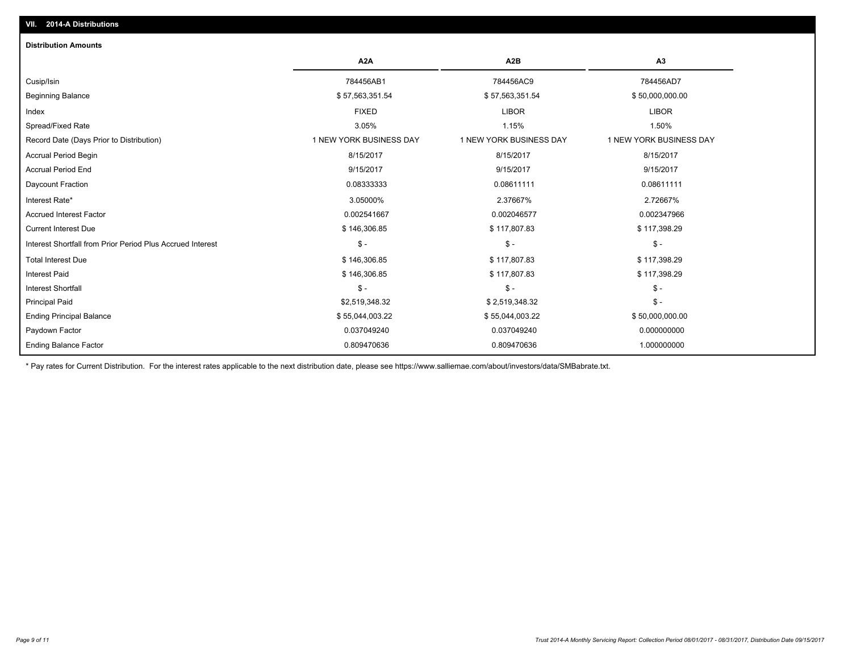| <b>Distribution Amounts</b>                                |                         |                         |                         |
|------------------------------------------------------------|-------------------------|-------------------------|-------------------------|
|                                                            | A <sub>2</sub> A        | A <sub>2</sub> B        | A3                      |
| Cusip/Isin                                                 | 784456AB1               | 784456AC9               | 784456AD7               |
| <b>Beginning Balance</b>                                   | \$57,563,351.54         | \$57,563,351.54         | \$50,000,000.00         |
| Index                                                      | <b>FIXED</b>            | <b>LIBOR</b>            | <b>LIBOR</b>            |
| Spread/Fixed Rate                                          | 3.05%                   | 1.15%                   | 1.50%                   |
| Record Date (Days Prior to Distribution)                   | 1 NEW YORK BUSINESS DAY | 1 NEW YORK BUSINESS DAY | 1 NEW YORK BUSINESS DAY |
| <b>Accrual Period Begin</b>                                | 8/15/2017               | 8/15/2017               | 8/15/2017               |
| <b>Accrual Period End</b>                                  | 9/15/2017               | 9/15/2017               | 9/15/2017               |
| Daycount Fraction                                          | 0.08333333              | 0.08611111              | 0.08611111              |
| Interest Rate*                                             | 3.05000%                | 2.37667%                | 2.72667%                |
| <b>Accrued Interest Factor</b>                             | 0.002541667             | 0.002046577             | 0.002347966             |
| <b>Current Interest Due</b>                                | \$146,306.85            | \$117,807.83            | \$117,398.29            |
| Interest Shortfall from Prior Period Plus Accrued Interest | $\frac{1}{2}$           | $\frac{1}{2}$           | $$ -$                   |
| <b>Total Interest Due</b>                                  | \$146,306.85            | \$117,807.83            | \$117,398.29            |
| <b>Interest Paid</b>                                       | \$146,306.85            | \$117,807.83            | \$117,398.29            |
| <b>Interest Shortfall</b>                                  | $\mathsf{\$}$ -         | $$ -$                   | $$ -$                   |
| <b>Principal Paid</b>                                      | \$2,519,348.32          | \$2,519,348.32          | $$ -$                   |
| <b>Ending Principal Balance</b>                            | \$55,044,003.22         | \$55,044,003.22         | \$50,000,000.00         |
| Paydown Factor                                             | 0.037049240             | 0.037049240             | 0.000000000             |
| <b>Ending Balance Factor</b>                               | 0.809470636             | 0.809470636             | 1.000000000             |

\* Pay rates for Current Distribution. For the interest rates applicable to the next distribution date, please see https://www.salliemae.com/about/investors/data/SMBabrate.txt.

**VII. 2014-A Distributions**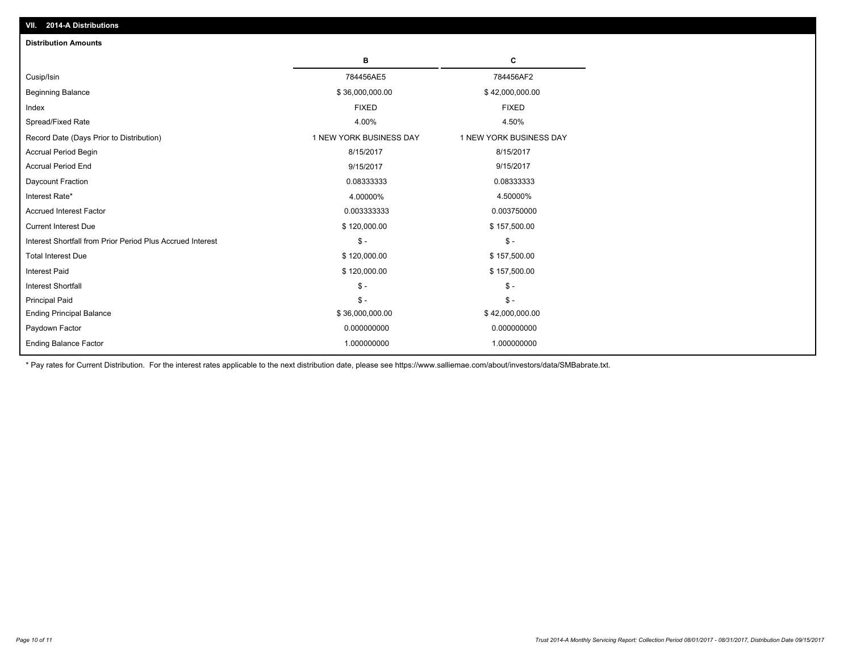| <b>Distribution Amounts</b>                                |                         |                         |
|------------------------------------------------------------|-------------------------|-------------------------|
|                                                            | в                       | c                       |
| Cusip/Isin                                                 | 784456AE5               | 784456AF2               |
| <b>Beginning Balance</b>                                   | \$36,000,000.00         | \$42,000,000.00         |
| Index                                                      | <b>FIXED</b>            | <b>FIXED</b>            |
| Spread/Fixed Rate                                          | 4.00%                   | 4.50%                   |
| Record Date (Days Prior to Distribution)                   | 1 NEW YORK BUSINESS DAY | 1 NEW YORK BUSINESS DAY |
| <b>Accrual Period Begin</b>                                | 8/15/2017               | 8/15/2017               |
| <b>Accrual Period End</b>                                  | 9/15/2017               | 9/15/2017               |
| Daycount Fraction                                          | 0.08333333              | 0.08333333              |
| Interest Rate*                                             | 4.00000%                | 4.50000%                |
| <b>Accrued Interest Factor</b>                             | 0.003333333             | 0.003750000             |
| <b>Current Interest Due</b>                                | \$120,000.00            | \$157,500.00            |
| Interest Shortfall from Prior Period Plus Accrued Interest | $\mathsf{\$}$ -         | $\mathsf{\$}$ -         |
| <b>Total Interest Due</b>                                  | \$120,000.00            | \$157,500.00            |
| Interest Paid                                              | \$120,000.00            | \$157,500.00            |
| <b>Interest Shortfall</b>                                  | $\mathsf{\$}$ -         | $\mathsf{\$}$ -         |
| <b>Principal Paid</b>                                      | $\mathsf{\$}$ -         | $\mathbb{S}$ -          |
| <b>Ending Principal Balance</b>                            | \$36,000,000.00         | \$42,000,000.00         |
| Paydown Factor                                             | 0.000000000             | 0.000000000             |
| <b>Ending Balance Factor</b>                               | 1.000000000             | 1.000000000             |

\* Pay rates for Current Distribution. For the interest rates applicable to the next distribution date, please see https://www.salliemae.com/about/investors/data/SMBabrate.txt.

**VII. 2014-A Distributions**